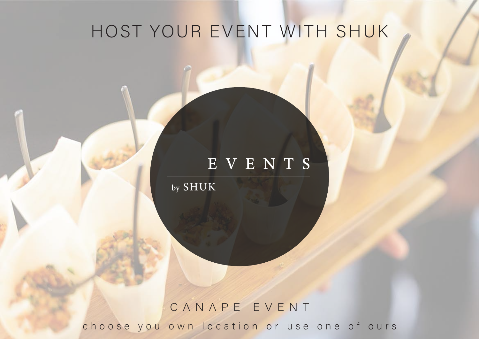# HOST YOUR EVENT WITH SHUK

# EVENTS

by SHUK

# choose you own location or use one of ours CANAPE EVENT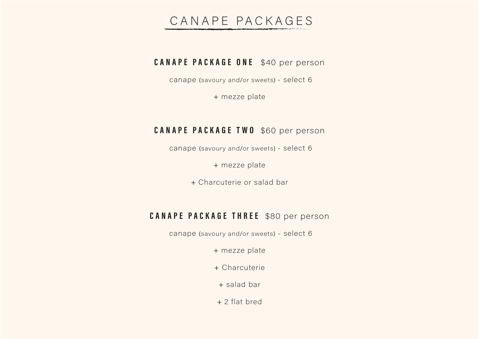# CANAPE PACKAGES

# **CANAPE PACKAGE ONE** \$40 per person

canape (savoury and/or sweets) - select 6

+ mezze plate

# **CANAPE PACKAGE TWO** \$60 per person

canape (savoury and/or sweets) - select 6

+ mezze plate

+ Charcuterie or salad bar

# **CANAPE PACKAGE THREE** \$80 per person

canape (savoury and/or sweets) - select 6

+ mezze plate

+ Charcuterie

+ salad bar

 $+2$  flat bred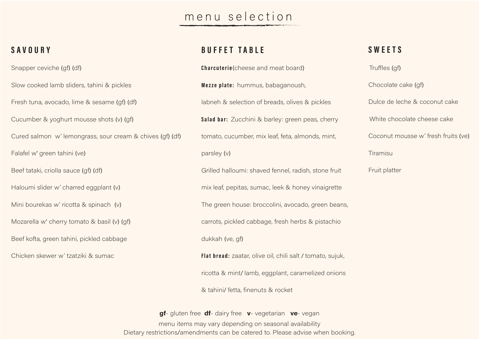# menu selection

## SAVOURY

Snapper ceviche (qf) (df)

Slow cooked lamb sliders, tahini & pickles

Fresh tuna, avocado, lime & sesame (qf) (df)

Cucumber & yoghurt mousse shots (v) (qf)

Cured salmon w' lemongrass, sour cream & chives (qf) (df)

Falafel w' green tahini (ve)

Beef tataki, criolla sauce (gf) (df)

Haloumi slider w' charred eggplant (v)

Mini bourekas w' ricotta & spinach (v)

Mozarella w' cherry tomato & basil (v) (qf)

Beef kofta, green tahini, pickled cabbage

Chicken skewer w' tzatziki & sumac

# **BUFFET TABLE**

Charcuterie (cheese and meat board) Mezze plate: hummus, babaganoush, labneh & selection of breads, olives & pickles Salad bar: Zucchini & barley: green peas, cherry tomato, cucumber, mix leaf, feta, almonds, mint, parsley (v) Grilled halloumi: shaved fennel, radish, stone fruit mix leaf, pepitas, sumac, leek & honey vinaigrette The green house: broccolini, avocado, green beans, carrots, pickled cabbage, fresh herbs & pistachio dukkah (ve, gf) Flat bread: zaatar, olive oil, chili salt / tomato, sujuk,

ricotta & mint/lamb, eggplant, caramelized onions

& tahini/ fetta, finenuts & rocket

gf- gluten free df- dairy free v- vegetarian ve- vegan menu items may vary depending on seasonal availability Dietary restrictions/amendments can be catered to. Please advise when booking.

# **SWEETS**

Truffles (gf)

Chocolate cake (qf) Dulce de leche & coconut cake White chocolate cheese cake Coconut mousse w' fresh fruits (ye)

Tiramisu

Fruit platter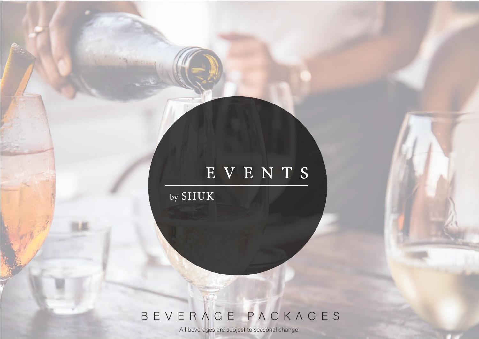# EVENTS

by SHUK

# BEVERAGE PACKAGES

All beverages are subject to seasonal change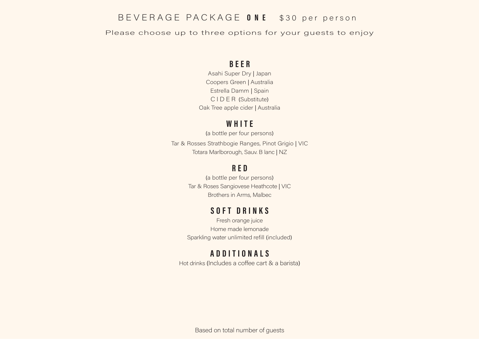# BEVERAGE PACKAGE ONE \$30 per person

Please choose up to three options for your guests to enjoy

#### **BEER**

Asahi Super Dry | Japan Coopers Green | Australia Estrella Damm | Spain CIDER (Substitute) Oak Tree apple cider | Australia

#### WHITE

(a bottle per four persons) Tar & Rosses Strathbogie Ranges, Pinot Grigio | VIC Totara Marlborough, Sauv. B lanc | NZ

## **RED**

(a bottle per four persons) Tar & Roses Sangiovese Heathcote | VIC Brothers in Arms, Malbec

#### SOFT DRINKS

Fresh orange juice Home made lemonade Sparkling water unlimited refill (included)

# **ADDITIONALS**

Hot drinks (Includes a coffee cart & a barista)

Based on total number of guests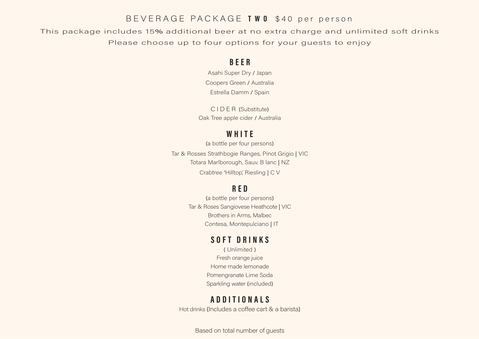#### BEVERAGE PACKAGE TWO \$40 per person

This package includes 15% additional beer at no extra charge and unlimited soft drinks Please choose up to four options for your quests to enjoy

#### **BEER**

Asahi Super Dry / Japan Coopers Green / Australia Estrella Damm / Spain

CIDER (Substitute) Oak Tree apple cider / Australia

## WHITE

(a bottle per four persons) Tar & Rosses Strathbogie Ranges, Pinot Grigio | VIC Totara Marlborough, Sauv. B lanc | NZ Crabtree 'Hilltop', Riesling | C V

# **RED**

(a bottle per four persons) Tar & Roses Sangiovese Heathcote | VIC Brothers in Arms, Malbec Contesa, Montepulciano | IT

#### SOFT DRINKS

(Unlimited) Fresh orange juice Home made lemonade Pomengranate Lime Soda Sparkling water (included)

## **ADDITIONALS**

Hot drinks (Includes a coffee cart & a barista)

Based on total number of guests